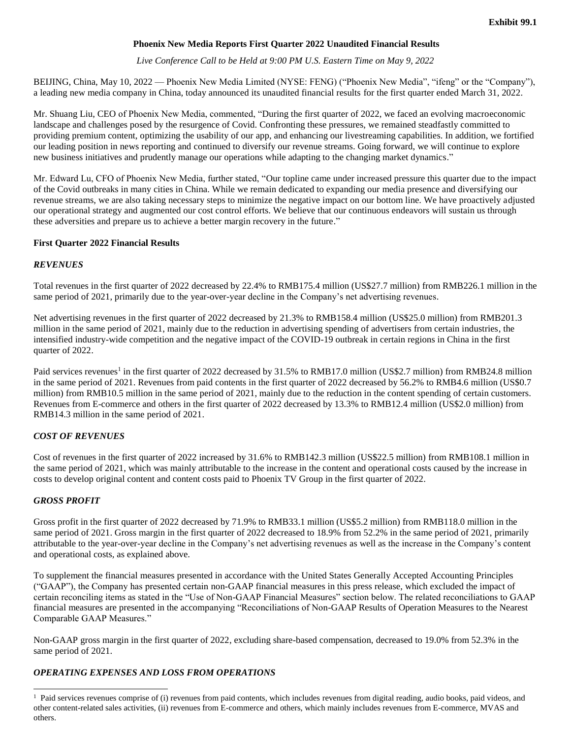# **Phoenix New Media Reports First Quarter 2022 Unaudited Financial Results**

*Live Conference Call to be Held at 9:00 PM U.S. Eastern Time on May 9, 2022*

BEIJING, China, May 10, 2022 — Phoenix New Media Limited (NYSE: FENG) ("Phoenix New Media", "ifeng" or the "Company"), a leading new media company in China, today announced its unaudited financial results for the first quarter ended March 31, 2022.

Mr. Shuang Liu, CEO of Phoenix New Media, commented, "During the first quarter of 2022, we faced an evolving macroeconomic landscape and challenges posed by the resurgence of Covid. Confronting these pressures, we remained steadfastly committed to providing premium content, optimizing the usability of our app, and enhancing our livestreaming capabilities. In addition, we fortified our leading position in news reporting and continued to diversify our revenue streams. Going forward, we will continue to explore new business initiatives and prudently manage our operations while adapting to the changing market dynamics."

Mr. Edward Lu, CFO of Phoenix New Media, further stated, "Our topline came under increased pressure this quarter due to the impact of the Covid outbreaks in many cities in China. While we remain dedicated to expanding our media presence and diversifying our revenue streams, we are also taking necessary steps to minimize the negative impact on our bottom line. We have proactively adjusted our operational strategy and augmented our cost control efforts. We believe that our continuous endeavors will sustain us through these adversities and prepare us to achieve a better margin recovery in the future."

## **First Quarter 2022 Financial Results**

### *REVENUES*

Total revenues in the first quarter of 2022 decreased by 22.4% to RMB175.4 million (US\$27.7 million) from RMB226.1 million in the same period of 2021, primarily due to the year-over-year decline in the Company's net advertising revenues.

Net advertising revenues in the first quarter of 2022 decreased by 21.3% to RMB158.4 million (US\$25.0 million) from RMB201.3 million in the same period of 2021, mainly due to the reduction in advertising spending of advertisers from certain industries, the intensified industry-wide competition and the negative impact of the COVID-19 outbreak in certain regions in China in the first quarter of 2022.

Paid services revenues<sup>1</sup> in the first quarter of 2022 decreased by 31.5% to RMB17.0 million (US\$2.7 million) from RMB24.8 million in the same period of 2021. Revenues from paid contents in the first quarter of 2022 decreased by 56.2% to RMB4.6 million (US\$0.7 million) from RMB10.5 million in the same period of 2021, mainly due to the reduction in the content spending of certain customers. Revenues from E-commerce and others in the first quarter of 2022 decreased by 13.3% to RMB12.4 million (US\$2.0 million) from RMB14.3 million in the same period of 2021.

## *COST OF REVENUES*

Cost of revenues in the first quarter of 2022 increased by 31.6% to RMB142.3 million (US\$22.5 million) from RMB108.1 million in the same period of 2021, which was mainly attributable to the increase in the content and operational costs caused by the increase in costs to develop original content and content costs paid to Phoenix TV Group in the first quarter of 2022.

## *GROSS PROFIT*

l

Gross profit in the first quarter of 2022 decreased by 71.9% to RMB33.1 million (US\$5.2 million) from RMB118.0 million in the same period of 2021. Gross margin in the first quarter of 2022 decreased to 18.9% from 52.2% in the same period of 2021, primarily attributable to the year-over-year decline in the Company's net advertising revenues as well as the increase in the Company's content and operational costs, as explained above.

To supplement the financial measures presented in accordance with the United States Generally Accepted Accounting Principles ("GAAP"), the Company has presented certain non-GAAP financial measures in this press release, which excluded the impact of certain reconciling items as stated in the "Use of Non-GAAP Financial Measures" section below. The related reconciliations to GAAP financial measures are presented in the accompanying "Reconciliations of Non-GAAP Results of Operation Measures to the Nearest Comparable GAAP Measures."

Non-GAAP gross margin in the first quarter of 2022, excluding share-based compensation, decreased to 19.0% from 52.3% in the same period of 2021.

# *OPERATING EXPENSES AND LOSS FROM OPERATIONS*

<sup>&</sup>lt;sup>1</sup> Paid services revenues comprise of (i) revenues from paid contents, which includes revenues from digital reading, audio books, paid videos, and other content-related sales activities, (ii) revenues from E-commerce and others, which mainly includes revenues from E-commerce, MVAS and others.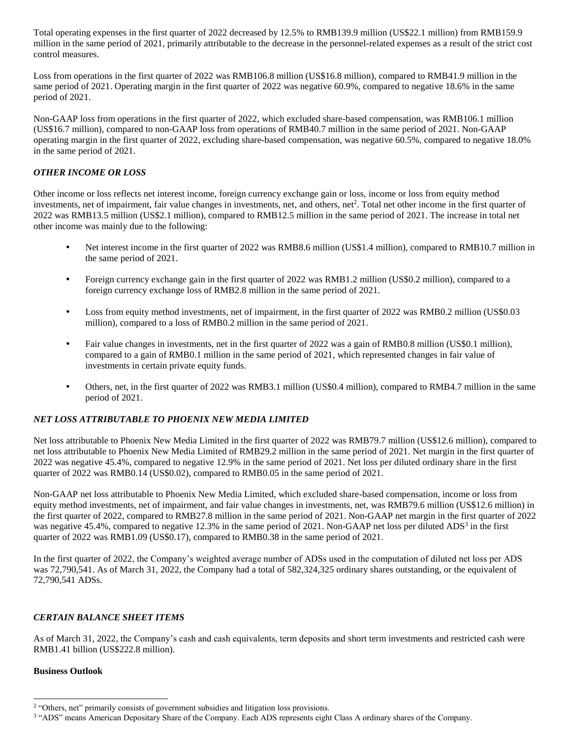Total operating expenses in the first quarter of 2022 decreased by 12.5% to RMB139.9 million (US\$22.1 million) from RMB159.9 million in the same period of 2021, primarily attributable to the decrease in the personnel-related expenses as a result of the strict cost control measures.

Loss from operations in the first quarter of 2022 was RMB106.8 million (US\$16.8 million), compared to RMB41.9 million in the same period of 2021. Operating margin in the first quarter of 2022 was negative 60.9%, compared to negative 18.6% in the same period of 2021.

Non-GAAP loss from operations in the first quarter of 2022, which excluded share-based compensation, was RMB106.1 million (US\$16.7 million), compared to non-GAAP loss from operations of RMB40.7 million in the same period of 2021. Non-GAAP operating margin in the first quarter of 2022, excluding share-based compensation, was negative 60.5%, compared to negative 18.0% in the same period of 2021.

## *OTHER INCOME OR LOSS*

Other income or loss reflects net interest income, foreign currency exchange gain or loss, income or loss from equity method investments, net of impairment, fair value changes in investments, net, and others, net<sup>2</sup>. Total net other income in the first quarter of 2022 was RMB13.5 million (US\$2.1 million), compared to RMB12.5 million in the same period of 2021. The increase in total net other income was mainly due to the following:

- Net interest income in the first quarter of 2022 was RMB8.6 million (US\$1.4 million), compared to RMB10.7 million in the same period of 2021.
- Foreign currency exchange gain in the first quarter of 2022 was RMB1.2 million (US\$0.2 million), compared to a foreign currency exchange loss of RMB2.8 million in the same period of 2021.
- Loss from equity method investments, net of impairment, in the first quarter of 2022 was RMB0.2 million (US\$0.03 million), compared to a loss of RMB0.2 million in the same period of 2021.
- Fair value changes in investments, net in the first quarter of 2022 was a gain of RMB0.8 million (US\$0.1 million), compared to a gain of RMB0.1 million in the same period of 2021, which represented changes in fair value of investments in certain private equity funds.
- Others, net, in the first quarter of 2022 was RMB3.1 million (US\$0.4 million), compared to RMB4.7 million in the same period of 2021.

## *NET LOSS ATTRIBUTABLE TO PHOENIX NEW MEDIA LIMITED*

Net loss attributable to Phoenix New Media Limited in the first quarter of 2022 was RMB79.7 million (US\$12.6 million), compared to net loss attributable to Phoenix New Media Limited of RMB29.2 million in the same period of 2021. Net margin in the first quarter of 2022 was negative 45.4%, compared to negative 12.9% in the same period of 2021. Net loss per diluted ordinary share in the first quarter of 2022 was RMB0.14 (US\$0.02), compared to RMB0.05 in the same period of 2021.

Non-GAAP net loss attributable to Phoenix New Media Limited, which excluded share-based compensation, income or loss from equity method investments, net of impairment, and fair value changes in investments, net, was RMB79.6 million (US\$12.6 million) in the first quarter of 2022, compared to RMB27.8 million in the same period of 2021. Non-GAAP net margin in the first quarter of 2022 was negative  $45.4\%$ , compared to negative 12.3% in the same period of 2021. Non-GAAP net loss per diluted ADS<sup>3</sup> in the first quarter of 2022 was RMB1.09 (US\$0.17), compared to RMB0.38 in the same period of 2021.

In the first quarter of 2022, the Company's weighted average number of ADSs used in the computation of diluted net loss per ADS was 72,790,541. As of March 31, 2022, the Company had a total of 582,324,325 ordinary shares outstanding, or the equivalent of 72,790,541 ADSs.

## *CERTAIN BALANCE SHEET ITEMS*

As of March 31, 2022, the Company's cash and cash equivalents, term deposits and short term investments and restricted cash were RMB1.41 billion (US\$222.8 million).

## **Business Outlook**

 $\overline{a}$ 

<sup>&</sup>lt;sup>2</sup> "Others, net" primarily consists of government subsidies and litigation loss provisions.

<sup>&</sup>lt;sup>3</sup> "ADS" means American Depositary Share of the Company. Each ADS represents eight Class A ordinary shares of the Company.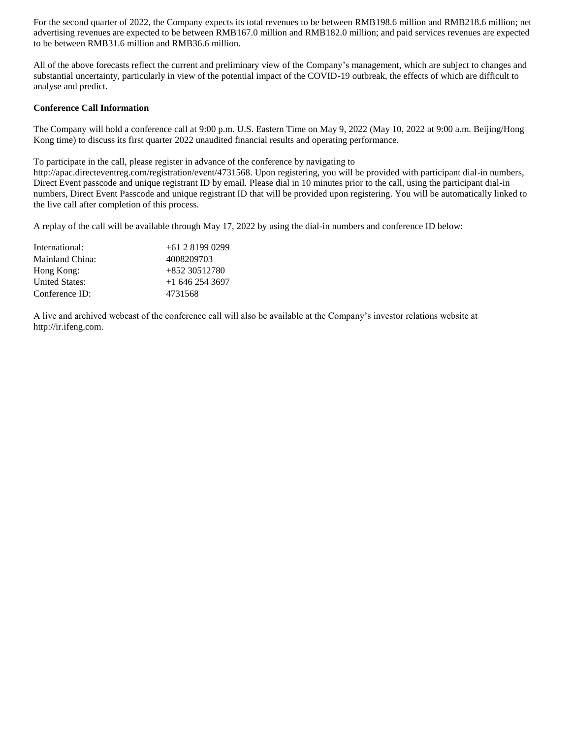For the second quarter of 2022, the Company expects its total revenues to be between RMB198.6 million and RMB218.6 million; net advertising revenues are expected to be between RMB167.0 million and RMB182.0 million; and paid services revenues are expected to be between RMB31.6 million and RMB36.6 million.

All of the above forecasts reflect the current and preliminary view of the Company's management, which are subject to changes and substantial uncertainty, particularly in view of the potential impact of the COVID-19 outbreak, the effects of which are difficult to analyse and predict.

## **Conference Call Information**

The Company will hold a conference call at 9:00 p.m. U.S. Eastern Time on May 9, 2022 (May 10, 2022 at 9:00 a.m. Beijing/Hong Kong time) to discuss its first quarter 2022 unaudited financial results and operating performance.

To participate in the call, please register in advance of the conference by navigating to

http://apac.directeventreg.com/registration/event/4731568. Upon registering, you will be provided with participant dial-in numbers, Direct Event passcode and unique registrant ID by email. Please dial in 10 minutes prior to the call, using the participant dial-in numbers, Direct Event Passcode and unique registrant ID that will be provided upon registering. You will be automatically linked to the live call after completion of this process.

A replay of the call will be available through May 17, 2022 by using the dial-in numbers and conference ID below:

| International:        | $+61281990299$    |
|-----------------------|-------------------|
| Mainland China:       | 4008209703        |
| Hong Kong:            | $+85230512780$    |
| <b>United States:</b> | $+1$ 646 254 3697 |
| Conference ID:        | 4731568           |

A live and archived webcast of the conference call will also be available at the Company's investor relations website at http://ir.ifeng.com.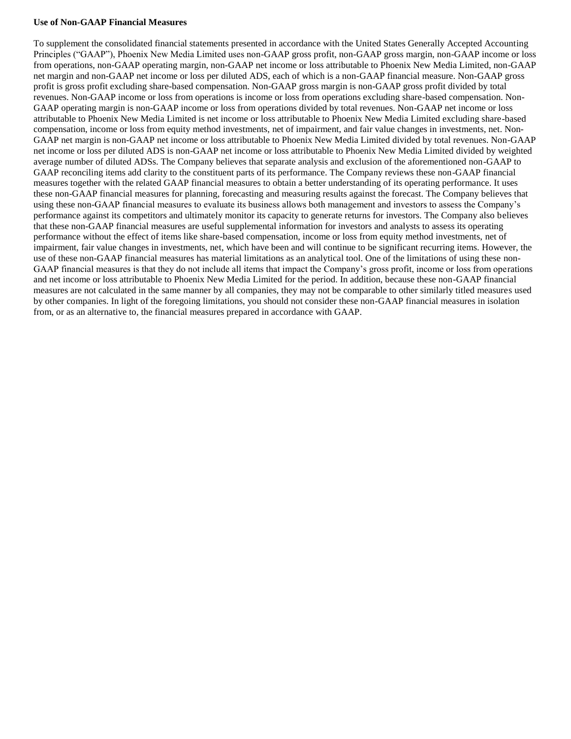#### **Use of Non-GAAP Financial Measures**

To supplement the consolidated financial statements presented in accordance with the United States Generally Accepted Accounting Principles ("GAAP"), Phoenix New Media Limited uses non-GAAP gross profit, non-GAAP gross margin, non-GAAP income or loss from operations, non-GAAP operating margin, non-GAAP net income or loss attributable to Phoenix New Media Limited, non-GAAP net margin and non-GAAP net income or loss per diluted ADS, each of which is a non-GAAP financial measure. Non-GAAP gross profit is gross profit excluding share-based compensation. Non-GAAP gross margin is non-GAAP gross profit divided by total revenues. Non-GAAP income or loss from operations is income or loss from operations excluding share-based compensation. Non-GAAP operating margin is non-GAAP income or loss from operations divided by total revenues. Non-GAAP net income or loss attributable to Phoenix New Media Limited is net income or loss attributable to Phoenix New Media Limited excluding share-based compensation, income or loss from equity method investments, net of impairment, and fair value changes in investments, net. Non-GAAP net margin is non-GAAP net income or loss attributable to Phoenix New Media Limited divided by total revenues. Non-GAAP net income or loss per diluted ADS is non-GAAP net income or loss attributable to Phoenix New Media Limited divided by weighted average number of diluted ADSs. The Company believes that separate analysis and exclusion of the aforementioned non-GAAP to GAAP reconciling items add clarity to the constituent parts of its performance. The Company reviews these non-GAAP financial measures together with the related GAAP financial measures to obtain a better understanding of its operating performance. It uses these non-GAAP financial measures for planning, forecasting and measuring results against the forecast. The Company believes that using these non-GAAP financial measures to evaluate its business allows both management and investors to assess the Company's performance against its competitors and ultimately monitor its capacity to generate returns for investors. The Company also believes that these non-GAAP financial measures are useful supplemental information for investors and analysts to assess its operating performance without the effect of items like share-based compensation, income or loss from equity method investments, net of impairment, fair value changes in investments, net, which have been and will continue to be significant recurring items. However, the use of these non-GAAP financial measures has material limitations as an analytical tool. One of the limitations of using these non-GAAP financial measures is that they do not include all items that impact the Company's gross profit, income or loss from operations and net income or loss attributable to Phoenix New Media Limited for the period. In addition, because these non-GAAP financial measures are not calculated in the same manner by all companies, they may not be comparable to other similarly titled measures used by other companies. In light of the foregoing limitations, you should not consider these non-GAAP financial measures in isolation from, or as an alternative to, the financial measures prepared in accordance with GAAP.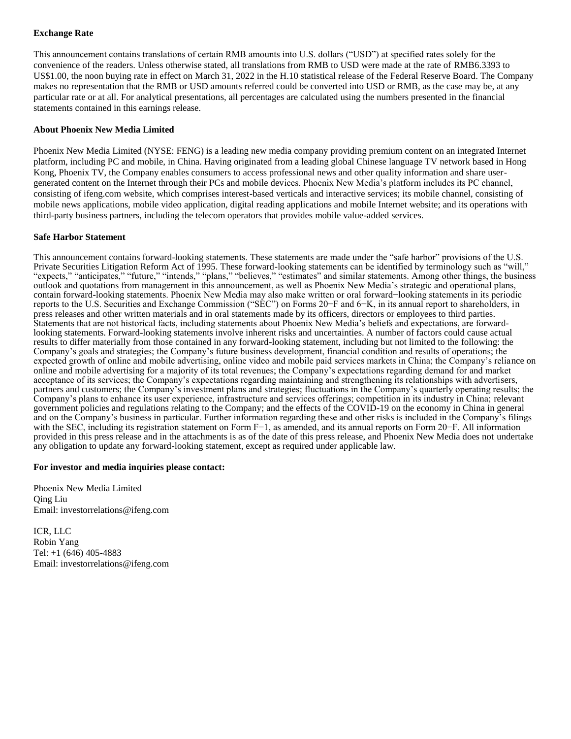## **Exchange Rate**

This announcement contains translations of certain RMB amounts into U.S. dollars ("USD") at specified rates solely for the convenience of the readers. Unless otherwise stated, all translations from RMB to USD were made at the rate of RMB6.3393 to US\$1.00, the noon buying rate in effect on March 31, 2022 in the H.10 statistical release of the Federal Reserve Board. The Company makes no representation that the RMB or USD amounts referred could be converted into USD or RMB, as the case may be, at any particular rate or at all. For analytical presentations, all percentages are calculated using the numbers presented in the financial statements contained in this earnings release.

### **About Phoenix New Media Limited**

Phoenix New Media Limited (NYSE: FENG) is a leading new media company providing premium content on an integrated Internet platform, including PC and mobile, in China. Having originated from a leading global Chinese language TV network based in Hong Kong, Phoenix TV, the Company enables consumers to access professional news and other quality information and share usergenerated content on the Internet through their PCs and mobile devices. Phoenix New Media's platform includes its PC channel, consisting of ifeng.com website, which comprises interest-based verticals and interactive services; its mobile channel, consisting of mobile news applications, mobile video application, digital reading applications and mobile Internet website; and its operations with third-party business partners, including the telecom operators that provides mobile value-added services.

### **Safe Harbor Statement**

This announcement contains forward-looking statements. These statements are made under the "safe harbor" provisions of the U.S. Private Securities Litigation Reform Act of 1995. These forward-looking statements can be identified by terminology such as "will," "expects," "anticipates," "future," "intends," "plans," "believes," "estimates" and similar statements. Among other things, the business outlook and quotations from management in this announcement, as well as Phoenix New Media's strategic and operational plans, contain forward-looking statements. Phoenix New Media may also make written or oral forward−looking statements in its periodic reports to the U.S. Securities and Exchange Commission ("SEC") on Forms 20−F and 6−K, in its annual report to shareholders, in press releases and other written materials and in oral statements made by its officers, directors or employees to third parties. Statements that are not historical facts, including statements about Phoenix New Media's beliefs and expectations, are forwardlooking statements. Forward-looking statements involve inherent risks and uncertainties. A number of factors could cause actual results to differ materially from those contained in any forward-looking statement, including but not limited to the following: the Company's goals and strategies; the Company's future business development, financial condition and results of operations; the expected growth of online and mobile advertising, online video and mobile paid services markets in China; the Company's reliance on online and mobile advertising for a majority of its total revenues; the Company's expectations regarding demand for and market acceptance of its services; the Company's expectations regarding maintaining and strengthening its relationships with advertisers, partners and customers; the Company's investment plans and strategies; fluctuations in the Company's quarterly operating results; the Company's plans to enhance its user experience, infrastructure and services offerings; competition in its industry in China; relevant government policies and regulations relating to the Company; and the effects of the COVID-19 on the economy in China in general and on the Company's business in particular. Further information regarding these and other risks is included in the Company's filings with the SEC, including its registration statement on Form F−1, as amended, and its annual reports on Form 20−F. All information provided in this press release and in the attachments is as of the date of this press release, and Phoenix New Media does not undertake any obligation to update any forward-looking statement, except as required under applicable law.

#### **For investor and media inquiries please contact:**

Phoenix New Media Limited Qing Liu Email: investorrelations@ifeng.com

ICR, LLC Robin Yang Tel: +1 (646) 405-4883 Email: investorrelations@ifeng.com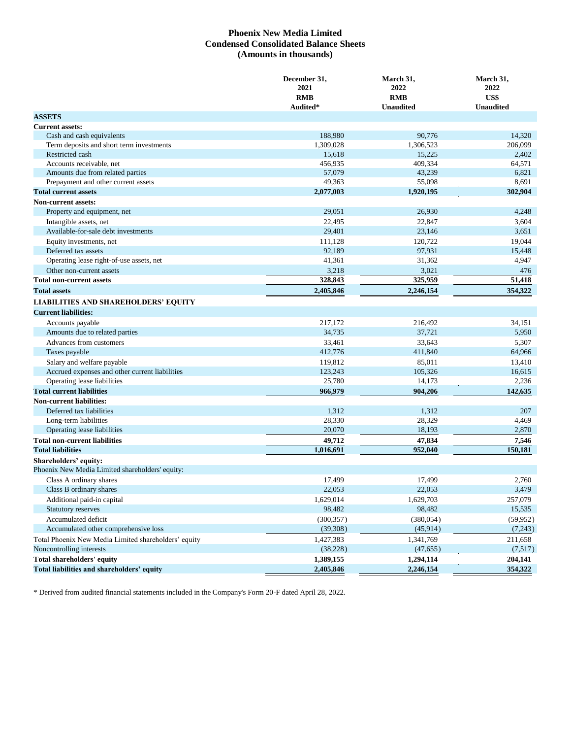## **Phoenix New Media Limited Condensed Consolidated Balance Sheets (Amounts in thousands)**

|                                                      | December 31,<br>2021 | March 31,<br>2022 | March 31,<br>2022 |
|------------------------------------------------------|----------------------|-------------------|-------------------|
|                                                      | <b>RMB</b>           | <b>RMB</b>        | US\$              |
|                                                      | Audited*             | <b>Unaudited</b>  | <b>Unaudited</b>  |
| <b>ASSETS</b>                                        |                      |                   |                   |
| <b>Current assets:</b>                               |                      |                   |                   |
| Cash and cash equivalents                            | 188,980              | 90,776            | 14,320            |
| Term deposits and short term investments             | 1,309,028            | 1,306,523         | 206,099           |
| Restricted cash                                      | 15,618               | 15,225            | 2,402             |
| Accounts receivable, net                             | 456.935              | 409,334           | 64,571            |
| Amounts due from related parties                     | 57,079               | 43,239            | 6,821             |
| Prepayment and other current assets                  | 49,363               | 55,098            | 8,691             |
| <b>Total current assets</b>                          | 2,077,003            | 1,920,195         | 302,904           |
| <b>Non-current assets:</b>                           |                      |                   |                   |
| Property and equipment, net                          | 29,051               | 26,930            | 4,248             |
| Intangible assets, net                               | 22,495               | 22,847            | 3,604             |
| Available-for-sale debt investments                  | 29,401               | 23,146            | 3,651             |
| Equity investments, net                              | 111,128              | 120,722           | 19,044            |
| Deferred tax assets                                  | 92,189               | 97,931            | 15,448            |
| Operating lease right-of-use assets, net             | 41,361               | 31,362            | 4,947             |
| Other non-current assets                             | 3,218                | 3,021             | 476               |
| <b>Total non-current assets</b>                      | 328,843              | 325,959           | 51,418            |
| <b>Total assets</b>                                  | 2,405,846            | 2,246,154         | 354,322           |
| <b>LIABILITIES AND SHAREHOLDERS' EQUITY</b>          |                      |                   |                   |
|                                                      |                      |                   |                   |
| <b>Current liabilities:</b>                          |                      |                   |                   |
| Accounts payable                                     | 217.172              | 216.492           | 34,151            |
| Amounts due to related parties                       | 34,735               | 37,721            | 5,950             |
| Advances from customers                              | 33,461               | 33,643            | 5,307             |
| Taxes payable                                        | 412,776              | 411,840           | 64,966            |
| Salary and welfare payable                           | 119,812              | 85,011            | 13,410            |
| Accrued expenses and other current liabilities       | 123,243              | 105,326           | 16,615            |
| Operating lease liabilities                          | 25,780               | 14,173            | 2,236             |
| <b>Total current liabilities</b>                     | 966,979              | 904,206           | 142,635           |
| <b>Non-current liabilities:</b>                      |                      |                   |                   |
| Deferred tax liabilities                             | 1,312                | 1,312             | 207               |
| Long-term liabilities                                | 28,330               | 28,329            | 4,469             |
| Operating lease liabilities                          | 20,070               | 18,193            | 2,870             |
| <b>Total non-current liabilities</b>                 | 49,712               | 47,834            | 7,546             |
| <b>Total liabilities</b>                             | 1,016,691            | 952,040           | 150,181           |
| Shareholders' equity:                                |                      |                   |                   |
| Phoenix New Media Limited shareholders' equity:      |                      |                   |                   |
| Class A ordinary shares                              | 17,499               | 17,499            | 2,760             |
| Class B ordinary shares                              | 22,053               | 22,053            | 3,479             |
| Additional paid-in capital                           | 1,629,014            | 1,629,703         | 257,079           |
| <b>Statutory reserves</b>                            | 98,482               | 98,482            | 15,535            |
| Accumulated deficit                                  | (300, 357)           | (380, 054)        | (59, 952)         |
| Accumulated other comprehensive loss                 | (39, 308)            | (45, 914)         | (7,243)           |
| Total Phoenix New Media Limited shareholders' equity | 1,427,383            | 1,341,769         | 211,658           |
| Noncontrolling interests                             | (38, 228)            | (47, 655)         | (7,517)           |
| <b>Total shareholders' equity</b>                    | 1,389,155            | 1,294,114         | 204,141           |
| Total liabilities and shareholders' equity           | 2,405,846            | 2,246,154         | 354,322           |

\* Derived from audited financial statements included in the Company's Form 20-F dated April 28, 2022.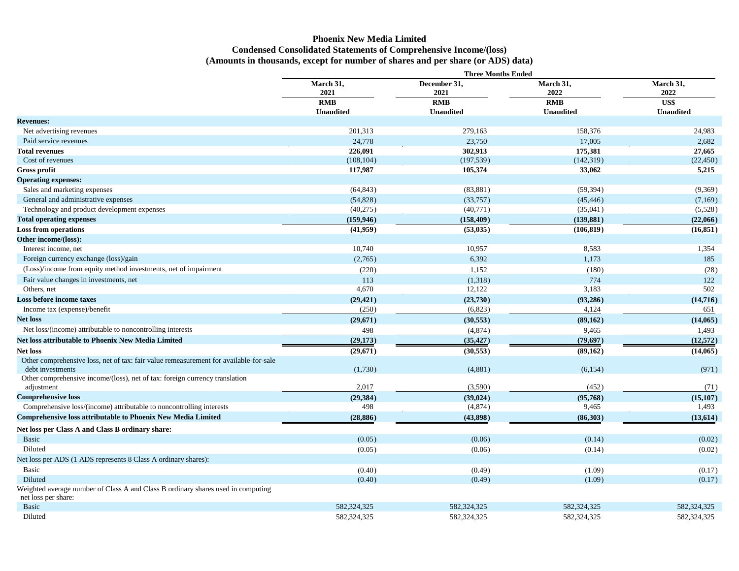# **Phoenix New Media Limited Condensed Consolidated Statements of Comprehensive Income/(loss) (Amounts in thousands, except for number of shares and per share (or ADS) data)**

|                                                                                                           | <b>Three Months Ended</b>                           |                                                        |                                              |                                               |  |  |  |  |
|-----------------------------------------------------------------------------------------------------------|-----------------------------------------------------|--------------------------------------------------------|----------------------------------------------|-----------------------------------------------|--|--|--|--|
|                                                                                                           | March 31,<br>2021<br><b>RMB</b><br><b>Unaudited</b> | December 31,<br>2021<br><b>RMB</b><br><b>Unaudited</b> | March 31,<br>2022<br>RMB<br><b>Unaudited</b> | March 31,<br>2022<br>US\$<br><b>Unaudited</b> |  |  |  |  |
| <b>Revenues:</b>                                                                                          |                                                     |                                                        |                                              |                                               |  |  |  |  |
| Net advertising revenues                                                                                  | 201,313                                             | 279,163                                                | 158,376                                      | 24,983                                        |  |  |  |  |
| Paid service revenues                                                                                     | 24,778                                              | 23,750                                                 | 17,005                                       | 2,682                                         |  |  |  |  |
| <b>Total revenues</b>                                                                                     | 226,091                                             | 302,913                                                | 175,381                                      | 27,665                                        |  |  |  |  |
| Cost of revenues                                                                                          | (108, 104)                                          | (197, 539)                                             | (142, 319)                                   | (22, 450)                                     |  |  |  |  |
| Gross profit                                                                                              | 117,987                                             | 105,374                                                | 33,062                                       | 5,215                                         |  |  |  |  |
| <b>Operating expenses:</b>                                                                                |                                                     |                                                        |                                              |                                               |  |  |  |  |
| Sales and marketing expenses                                                                              | (64, 843)                                           | (83, 881)                                              | (59, 394)                                    | (9,369)                                       |  |  |  |  |
| General and administrative expenses                                                                       | (54,828)                                            | (33,757)                                               | (45, 446)                                    | (7,169)                                       |  |  |  |  |
| Technology and product development expenses                                                               | (40,275)                                            | (40,771)                                               | (35,041)                                     | (5,528)                                       |  |  |  |  |
| <b>Total operating expenses</b>                                                                           | (159, 946)                                          | (158, 409)                                             | (139.881)                                    | (22,066)                                      |  |  |  |  |
| <b>Loss from operations</b>                                                                               | (41,959)                                            | (53,035)                                               | (106, 819)                                   | (16, 851)                                     |  |  |  |  |
| Other income/(loss):                                                                                      |                                                     |                                                        |                                              |                                               |  |  |  |  |
| Interest income, net                                                                                      | 10,740                                              | 10,957                                                 | 8,583                                        | 1,354                                         |  |  |  |  |
| Foreign currency exchange (loss)/gain                                                                     | (2,765)                                             | 6,392                                                  | 1,173                                        | 185                                           |  |  |  |  |
| (Loss)/income from equity method investments, net of impairment                                           | (220)                                               | 1,152                                                  | (180)                                        | (28)                                          |  |  |  |  |
| Fair value changes in investments, net                                                                    | 113                                                 | (1,318)                                                | 774                                          | 122                                           |  |  |  |  |
| Others, net                                                                                               | 4,670                                               | 12,122                                                 | 3,183                                        | 502                                           |  |  |  |  |
| Loss before income taxes                                                                                  | (29, 421)                                           | (23,730)                                               | (93, 286)                                    | (14,716)                                      |  |  |  |  |
| Income tax (expense)/benefit                                                                              | (250)                                               | (6,823)                                                | 4,124                                        | 651                                           |  |  |  |  |
| <b>Net loss</b>                                                                                           | (29,671)                                            | (30, 553)                                              | (89, 162)                                    | (14,065)                                      |  |  |  |  |
| Net loss/(income) attributable to noncontrolling interests                                                | 498                                                 | (4,874)                                                | 9,465                                        | 1,493                                         |  |  |  |  |
| Net loss attributable to Phoenix New Media Limited                                                        | (29, 173)                                           | (35, 427)                                              | (79, 697)                                    | (12,572)                                      |  |  |  |  |
| <b>Net loss</b>                                                                                           | (29,671)                                            | (30, 553)                                              | (89, 162)                                    | (14,065)                                      |  |  |  |  |
| Other comprehensive loss, net of tax: fair value remeasurement for available-for-sale<br>debt investments | (1,730)                                             | (4,881)                                                | (6, 154)                                     | (971)                                         |  |  |  |  |
| Other comprehensive income/(loss), net of tax: foreign currency translation<br>adjustment                 | 2,017                                               | (3,590)                                                | (452)                                        | (71)                                          |  |  |  |  |
| <b>Comprehensive loss</b>                                                                                 | (29, 384)                                           | (39, 024)                                              | (95,768)                                     | (15, 107)                                     |  |  |  |  |
| Comprehensive loss/(income) attributable to noncontrolling interests                                      | 498                                                 | (4,874)                                                | 9,465                                        | 1,493                                         |  |  |  |  |
| <b>Comprehensive loss attributable to Phoenix New Media Limited</b>                                       | (28, 886)                                           | (43,898)                                               | (86,303)                                     | (13, 614)                                     |  |  |  |  |
| Net loss per Class A and Class B ordinary share:                                                          |                                                     |                                                        |                                              |                                               |  |  |  |  |
| <b>Basic</b>                                                                                              | (0.05)                                              | (0.06)                                                 | (0.14)                                       | (0.02)                                        |  |  |  |  |
| Diluted                                                                                                   | (0.05)                                              | (0.06)                                                 | (0.14)                                       | (0.02)                                        |  |  |  |  |
| Net loss per ADS (1 ADS represents 8 Class A ordinary shares):                                            |                                                     |                                                        |                                              |                                               |  |  |  |  |
| <b>Basic</b>                                                                                              | (0.40)                                              | (0.49)                                                 | (1.09)                                       | (0.17)                                        |  |  |  |  |
| Diluted                                                                                                   | (0.40)                                              | (0.49)                                                 | (1.09)                                       | (0.17)                                        |  |  |  |  |
| Weighted average number of Class A and Class B ordinary shares used in computing<br>net loss per share:   |                                                     |                                                        |                                              |                                               |  |  |  |  |
| <b>Basic</b>                                                                                              | 582,324,325                                         | 582,324,325                                            | 582,324,325                                  | 582,324,325                                   |  |  |  |  |
| Diluted                                                                                                   | 582,324,325                                         | 582,324,325                                            | 582,324,325                                  | 582,324,325                                   |  |  |  |  |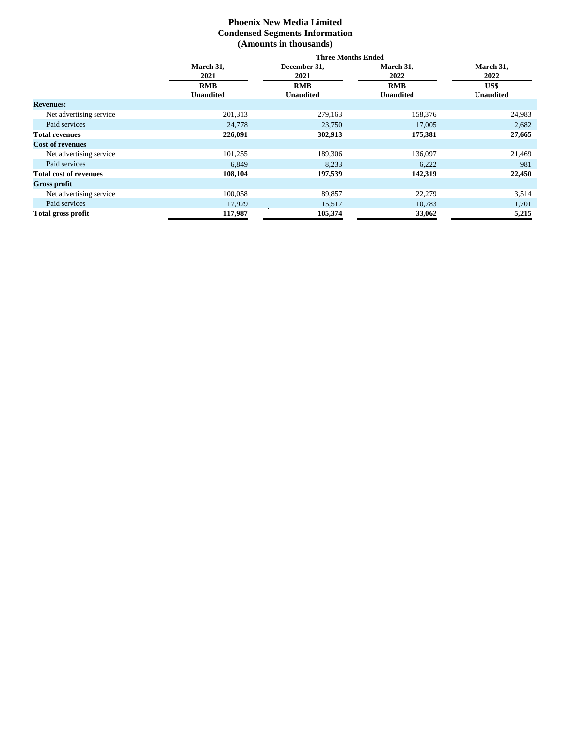# **Phoenix New Media Limited Condensed Segments Information (Amounts in thousands)**

|                               | <b>Three Months Ended</b> |                  |                  |                  |  |  |  |  |
|-------------------------------|---------------------------|------------------|------------------|------------------|--|--|--|--|
|                               | March 31,                 | December 31,     | March 31,        | March 31,        |  |  |  |  |
|                               | 2021                      | 2021             | 2022             | 2022             |  |  |  |  |
|                               | <b>RMB</b>                | <b>RMB</b>       | <b>RMB</b>       | US\$             |  |  |  |  |
|                               | <b>Unaudited</b>          | <b>Unaudited</b> | <b>Unaudited</b> | <b>Unaudited</b> |  |  |  |  |
| <b>Revenues:</b>              |                           |                  |                  |                  |  |  |  |  |
| Net advertising service       | 201,313                   | 279,163          | 158,376          | 24,983           |  |  |  |  |
| Paid services                 | 24,778                    | 23,750           | 17,005           | 2,682            |  |  |  |  |
| <b>Total revenues</b>         | 226,091                   | 302,913          | 175,381          | 27,665           |  |  |  |  |
| <b>Cost of revenues</b>       |                           |                  |                  |                  |  |  |  |  |
| Net advertising service       | 101,255                   | 189,306          | 136,097          | 21,469           |  |  |  |  |
| Paid services                 | 6,849                     | 8,233            | 6,222            | 981              |  |  |  |  |
| <b>Total cost of revenues</b> | 108,104                   | 197,539          | 142,319          | 22,450           |  |  |  |  |
| <b>Gross profit</b>           |                           |                  |                  |                  |  |  |  |  |
| Net advertising service       | 100,058                   | 89,857           | 22,279           | 3,514            |  |  |  |  |
| Paid services                 | 17,929                    | 15,517           | 10,783           | 1,701            |  |  |  |  |
| <b>Total gross profit</b>     | 117,987                   | 105,374          | 33,062           | 5,215            |  |  |  |  |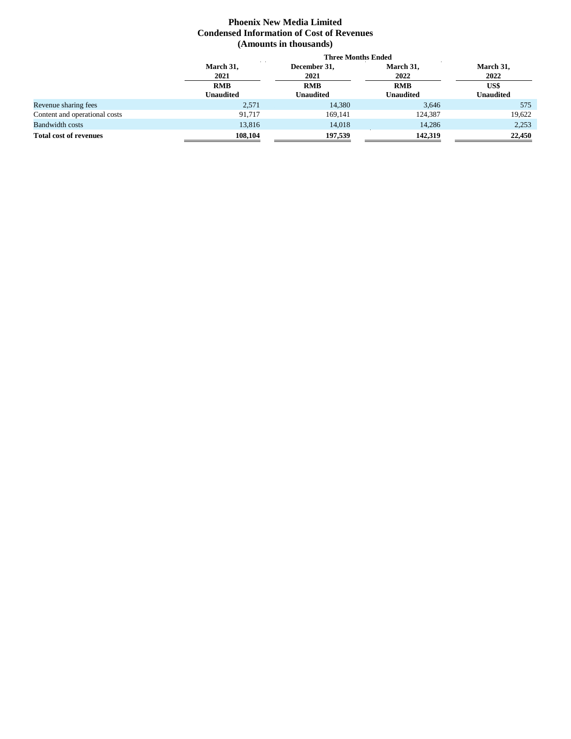# **Phoenix New Media Limited Condensed Information of Cost of Revenues (Amounts in thousands)**

|                               | <b>Three Months Ended</b> |                  |                  |                  |  |  |  |  |
|-------------------------------|---------------------------|------------------|------------------|------------------|--|--|--|--|
|                               | March 31,                 | December 31,     | March 31,        | March 31,        |  |  |  |  |
|                               | 2021                      | 2021             | 2022             | 2022             |  |  |  |  |
|                               | <b>RMB</b>                | <b>RMB</b>       | <b>RMB</b>       | US\$             |  |  |  |  |
|                               | <b>Unaudited</b>          | <b>Unaudited</b> | <b>Unaudited</b> | <b>Unaudited</b> |  |  |  |  |
| Revenue sharing fees          | 2,571                     | 14.380           | 3,646            | 575              |  |  |  |  |
| Content and operational costs | 91.717                    | 169,141          | 124,387          | 19,622           |  |  |  |  |
| <b>Bandwidth costs</b>        | 13,816                    | 14,018           | 14,286           | 2,253            |  |  |  |  |
| <b>Total cost of revenues</b> | 108,104                   | 197,539          | 142,319          | 22,450           |  |  |  |  |